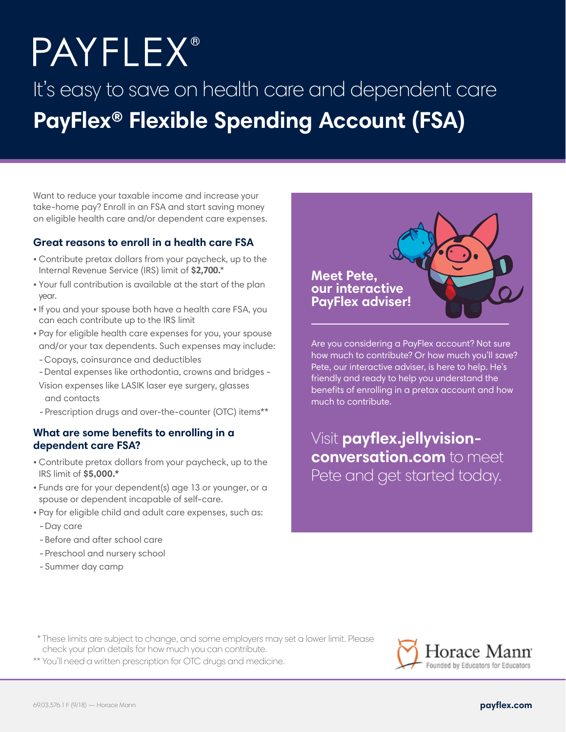# **PAYFLEX®**

# It's easy to save on health care and dependent care **PayFlex® Flexible Spending Account (FSA)**

Want to reduce your taxable income and increase your take-home pay? Enroll in an FSA and start saving money on eligible health care and/or dependent care expenses.

## **Great reasons to enroll in a health care FSA**

- Contribute pretax dollars from your paycheck, up to the Internal Revenue Service (IRS) limit of **\$2,700.**\*
- Your full contribution is available at the start of the plan year.
- If you and your spouse both have a health care FSA, you can each contribute up to the IRS limit
- Pay for eligible health care expenses for you, your spouse and/or your tax dependents. Such expenses may include:
- Copays, coinsurance and deductibles
- Dental expenses like orthodontia, crowns and bridges -
- Vision expenses like LASIK laser eye surgery, glasses and contacts

-Prescription drugs and over-the-counter (OTC) items\*\*

## **What are some benefits to enrolling in a dependent care FSA?**

- Contribute pretax dollars from your paycheck, up to the IRS limit of **\$5,000.\***
- Funds are for your dependent(s) age 13 or younger, or a spouse or dependent incapable of self-care.
- Pay for eligible child and adult care expenses, such as:
- -Day care
- -Before and after school care
- -Preschool and nursery school
- -Summer day camp



Are you considering a PayFlex account? Not sure how much to contribute? Or how much you'll save? Pete, our interactive adviser, is here to help. He's friendly and ready to help you understand the benefits of enrolling in a pretax account and how much to contribute.

Visit **[payflex.jellyvision](http://payflex.jellyvision-conversatoin.com/)conversation.com** to meet Pete and get started today.

- \* These limits are subject to change, and some employers may set a lower limit. Please check your plan details for how much you can contribute.
- \*\* You'll need a written prescription for OTC drugs and medicine.